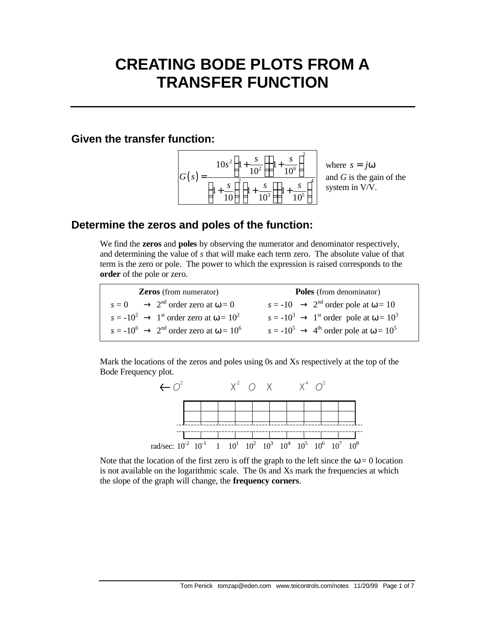# **CREATING BODE PLOTS FROM A TRANSFER FUNCTION**

#### **Given the transfer function:**



where  $s = j\omega$ and *G* is the gain of the system in V/V.

## **Determine the zeros and poles of the function:**

We find the **zeros** and **poles** by observing the numerator and denominator respectively, and determining the value of *s* that will make each term zero. The absolute value of that term is the zero or pole. The power to which the expression is raised corresponds to the **order** of the pole or zero.

**Zeros** (from numerator)  $s = 0 \rightarrow 2^{nd}$  order zero at  $\omega = 0$  $s = -10^2 \rightarrow 1^{\text{st}}$  order zero at  $\omega = 10^2$  $s = -10^6$   $\rightarrow$  2<sup>nd</sup> order zero at  $\omega = 10^6$   $s = -10^5$   $\rightarrow$  4<sup>th</sup> order pole at  $\omega = 10^5$ **Poles** (from denominator)  $s = -10 \rightarrow 2^{nd}$  order pole at  $\omega = 10$  $s = -10^3 \rightarrow 1^{\text{st}}$  order pole at  $\omega = 10^3$ 

Mark the locations of the zeros and poles using 0s and Xs respectively at the top of the Bode Frequency plot.



Note that the location of the first zero is off the graph to the left since the  $\omega = 0$  location is not available on the logarithmic scale. The 0s and Xs mark the frequencies at which the slope of the graph will change, the **frequency corners**.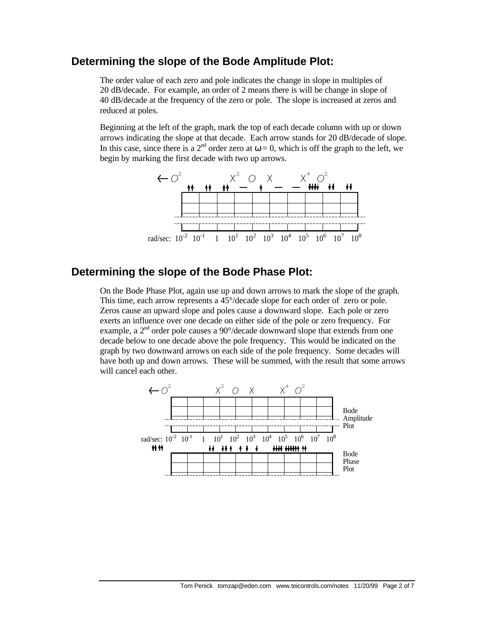### **Determining the slope of the Bode Amplitude Plot:**

The order value of each zero and pole indicates the change in slope in multiples of 20 dB/decade. For example, an order of 2 means there is will be change in slope of 40 dB/decade at the frequency of the zero or pole. The slope is increased at zeros and reduced at poles.

Beginning at the left of the graph, mark the top of each decade column with up or down arrows indicating the slope at that decade. Each arrow stands for 20 dB/decade of slope. In this case, since there is a  $2^{nd}$  order zero at  $\omega = 0$ , which is off the graph to the left, we begin by marking the first decade with two up arrows.



# **Determining the slope of the Bode Phase Plot:**

On the Bode Phase Plot, again use up and down arrows to mark the slope of the graph. This time, each arrow represents a 45°/decade slope for each order of zero or pole. Zeros cause an upward slope and poles cause a downward slope. Each pole or zero exerts an influence over one decade on either side of the pole or zero frequency. For example, a  $2<sup>nd</sup>$  order pole causes a 90 $\degree$ /decade downward slope that extends from one decade below to one decade above the pole frequency. This would be indicated on the graph by two downward arrows on each side of the pole frequency. Some decades will have both up and down arrows. These will be summed, with the result that some arrows will cancel each other.

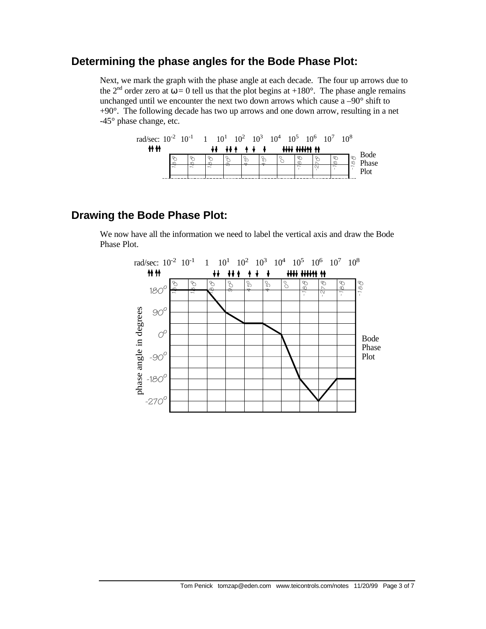## **Determining the phase angles for the Bode Phase Plot:**

Next, we mark the graph with the phase angle at each decade. The four up arrows due to the 2<sup>nd</sup> order zero at  $\omega = 0$  tell us that the plot begins at +180°. The phase angle remains unchanged until we encounter the next two down arrows which cause a –90° shift to +90°. The following decade has two up arrows and one down arrow, resulting in a net -45° phase change, etc.



# **Drawing the Bode Phase Plot:**

We now have all the information we need to label the vertical axis and draw the Bode Phase Plot.

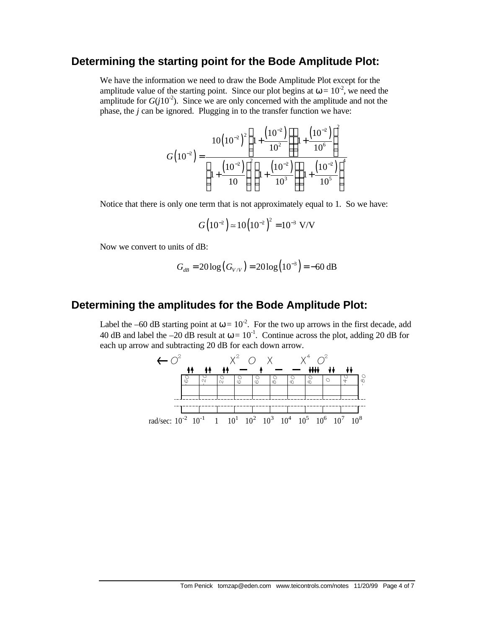#### **Determining the starting point for the Bode Amplitude Plot:**

We have the information we need to draw the Bode Amplitude Plot except for the amplitude value of the starting point. Since our plot begins at  $\omega = 10^{-2}$ , we need the amplitude for  $G(j10^{-2})$ . Since we are only concerned with the amplitude and not the phase, the *j* can be ignored. Plugging in to the transfer function we have:

$$
G(10^{-2}) = \frac{10(10^{-2})^2 \left(1 + \frac{(10^{-2})}{10^2}\right) \left(1 + \frac{(10^{-2})}{10^6}\right)^2}{\left(1 + \frac{(10^{-2})}{10}\right)^2 \left(1 + \frac{(10^{-2})}{10^3}\right) \left(1 + \frac{(10^{-2})}{10^5}\right)^4}
$$

Notice that there is only one term that is not approximately equal to 1. So we have:

$$
G(10^{-2}) \approx 10(10^{-2})^2 = 10^{-3} \text{ V/V}
$$

Now we convert to units of dB:

$$
G_{dB} = 20 \log (G_{V/V}) = 20 \log (10^{-3}) = -60 \text{ dB}
$$

#### **Determining the amplitudes for the Bode Amplitude Plot:**

Label the –60 dB starting point at  $\omega = 10^{-2}$ . For the two up arrows in the first decade, add 40 dB and label the -20 dB result at  $\omega = 10^{-1}$ . Continue across the plot, adding 20 dB for each up arrow and subtracting 20 dB for each down arrow.

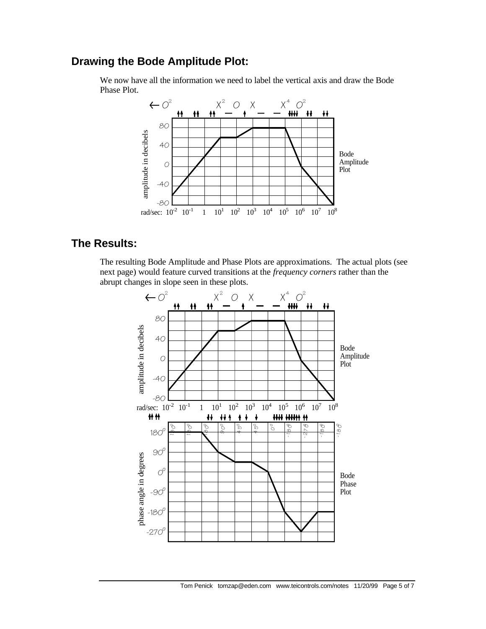## **Drawing the Bode Amplitude Plot:**

We now have all the information we need to label the vertical axis and draw the Bode Phase Plot.



# **The Results:**

The resulting Bode Amplitude and Phase Plots are approximations. The actual plots (see next page) would feature curved transitions at the *frequency corners* rather than the abrupt changes in slope seen in these plots.

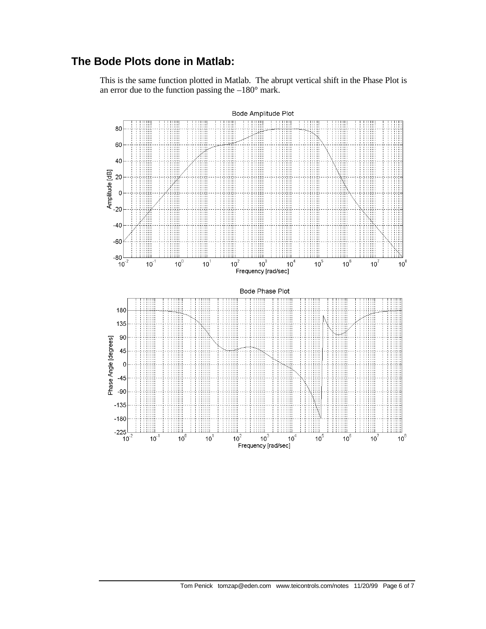# **The Bode Plots done in Matlab:**

This is the same function plotted in Matlab. The abrupt vertical shift in the Phase Plot is an error due to the function passing the  $-180^\circ$  mark.



Tom Penick tomzap@eden.com www.teicontrols.com/notes 11/20/99 Page 6 of 7